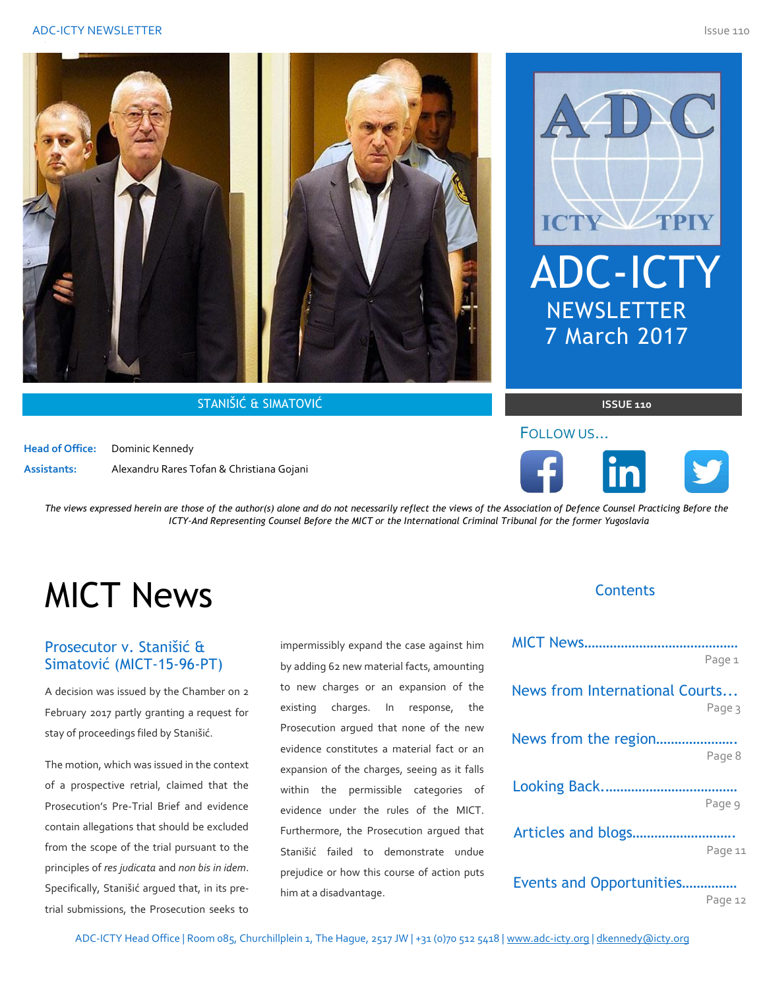

STANIŠIĆ & SIMATOVIĆ **ISSUE 110**

**Head of Office:** Dominic Kennedy **Assistants:** Alexandru Rares Tofan & Christiana Gojani



### FOLLOW US…



*The views expressed herein are those of the author(s) alone and do not necessarily reflect the views of the Association of Defence Counsel Practicing Before the ICTY-And Representing Counsel Before the MICT or the International Criminal Tribunal for the former Yugoslavia* 

# MICT News

### Prosecutor v. Stanišić & Simatović (MICT-15-96-PT)

A decision was issued by the Chamber on 2 February 2017 partly granting a request for stay of proceedings filed by Stanišić.

The motion, which was issued in the context of a prospective retrial, claimed that the Prosecution's Pre-Trial Brief and evidence contain allegations that should be excluded from the scope of the trial pursuant to the principles of *res judicata* and *non bis in idem*. Specifically, Stanišić argued that, in its pretrial submissions, the Prosecution seeks to

impermissibly expand the case against him by adding 62 new material facts, amounting to new charges or an expansion of the existing charges. In response, the Prosecution argued that none of the new evidence constitutes a material fact or an expansion of the charges, seeing as it falls within the permissible categories of evidence under the rules of the MICT. Furthermore, the Prosecution argued that Stanišić failed to demonstrate undue prejudice or how this course of action puts him at a disadvantage.

#### **Contents**

|                                | Page 1  |
|--------------------------------|---------|
| News from International Courts | Page 3  |
| News from the region           | Page 8  |
|                                |         |
| Articles and blogs             | Page 9  |
| Events and Opportunities       | Page 11 |
|                                |         |

Page 12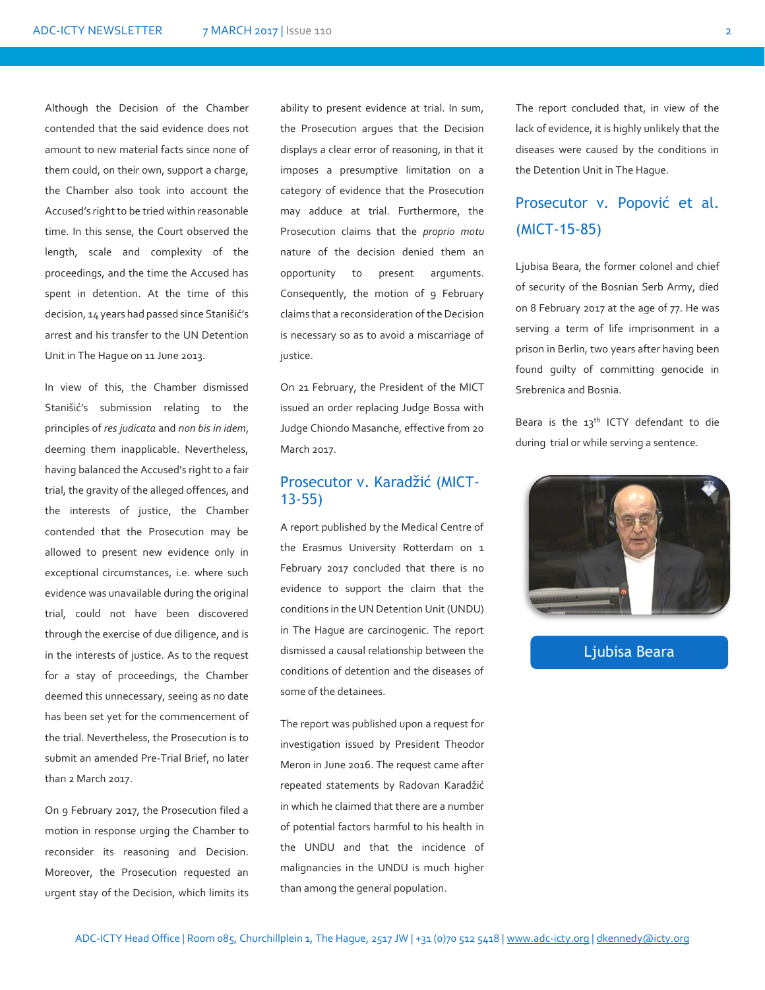Although the Decision of the Chamber contended that the said evidence does not amount to new material facts since none of them could, on their own, support a charge, the Chamber also took into account the Accused's right to be tried within reasonable time. In this sense, the Court observed the length, scale and complexity of the proceedings, and the time the Accused has spent in detention. At the time of this decision, 14 years had passed since Stanišić's arrest and his transfer to the UN Detention Unit in The Hague on 11 June 2013.

In view of this, the Chamber dismissed Stanišić's submission relating to the principles of *res judicata* and *non bis in idem*, deeming them inapplicable. Nevertheless, having balanced the Accused's right to a fair trial, the gravity of the alleged offences, and the interests of justice, the Chamber contended that the Prosecution may be allowed to present new evidence only in exceptional circumstances, i.e. where such evidence was unavailable during the original trial, could not have been discovered through the exercise of due diligence, and is in the interests of justice. As to the request for a stay of proceedings, the Chamber deemed this unnecessary, seeing as no date has been set yet for the commencement of the trial. Nevertheless, the Prosecution is to submit an amended Pre-Trial Brief, no later than 2 March 2017.

On 9 February 2017, the Prosecution filed a motion in response urging the Chamber to reconsider its reasoning and Decision. Moreover, the Prosecution requested an urgent stay of the Decision, which limits its

ability to present evidence at trial. In sum, the Prosecution argues that the Decision displays a clear error of reasoning, in that it imposes a presumptive limitation on a category of evidence that the Prosecution may adduce at trial. Furthermore, the Prosecution claims that the *proprio motu* nature of the decision denied them an opportunity to present arguments. Consequently, the motion of 9 February claims that a reconsideration of the Decision is necessary so as to avoid a miscarriage of justice.

On 21 February, the President of the MICT issued an order replacing Judge Bossa with Judge Chiondo Masanche, effective from 20 March 2017.

#### Prosecutor v. Karadžić (MICT-13-55)

A report published by the Medical Centre of the Erasmus University Rotterdam on 1 February 2017 concluded that there is no evidence to support the claim that the conditions in the UN Detention Unit (UNDU) in The Hague are carcinogenic. The report dismissed a causal relationship between the conditions of detention and the diseases of some of the detainees.

The report was published upon a request for investigation issued by President Theodor Meron in June 2016. The request came after repeated statements by Radovan Karadžić in which he claimed that there are a number of potential factors harmful to his health in the UNDU and that the incidence of malignancies in the UNDU is much higher than among the general population.

The report concluded that, in view of the lack of evidence, it is highly unlikely that the diseases were caused by the conditions in the Detention Unit in The Hague.

### Prosecutor v. Popović et al. (MICT-15-85)

Ljubisa Beara, the former colonel and chief of security of the Bosnian Serb Army, died on 8 February 2017 at the age of 77. He was serving a term of life imprisonment in a prison in Berlin, two years after having been found guilty of committing genocide in Srebrenica and Bosnia.

Beara is the 13th ICTY defendant to die during trial or while serving a sentence.



#### Ljubisa Beara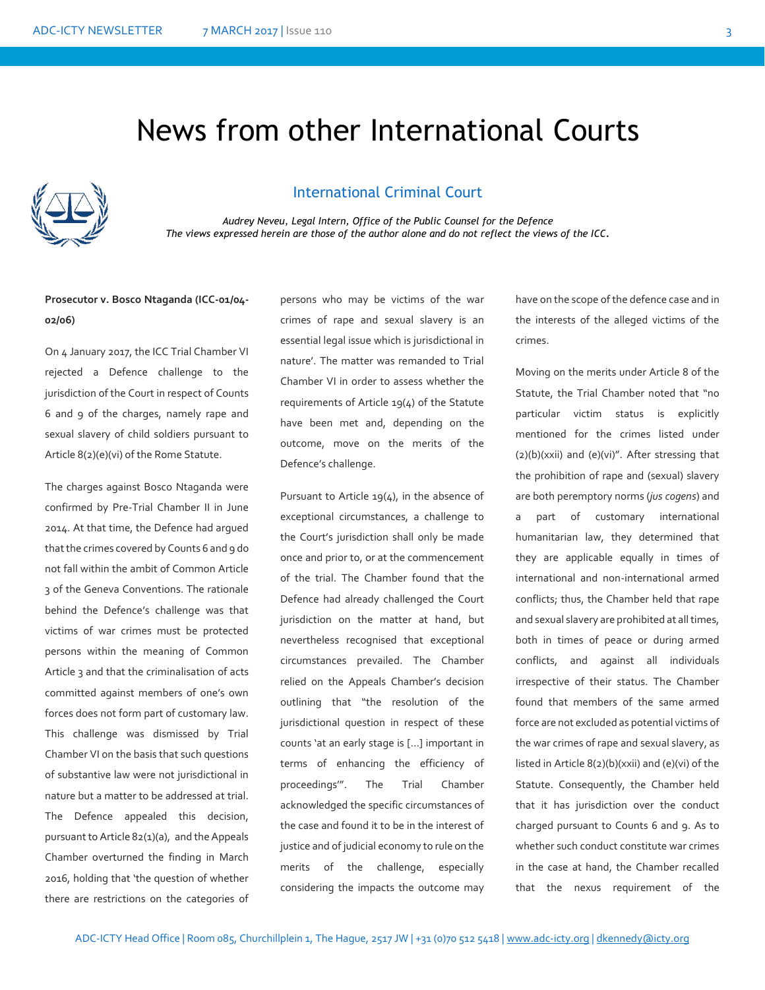### News from other International Courts



#### International Criminal Court

*Audrey Neveu, Legal Intern, Office of the Public Counsel for the Defence The views expressed herein are those of the author alone and do not reflect the views of the ICC.*

#### **Prosecutor v. Bosco Ntaganda (ICC-01/04- 02/06)**

On 4 January 2017, the ICC Trial Chamber VI rejected a Defence challenge to the jurisdiction of the Court in respect of Counts 6 and 9 of the charges, namely rape and sexual slavery of child soldiers pursuant to Article 8(2)(e)(vi) of the Rome Statute.

The charges against Bosco Ntaganda were confirmed by Pre-Trial Chamber II in June 2014. At that time, the Defence had argued that the crimes covered by Counts 6 and 9 do not fall within the ambit of Common Article 3 of the Geneva Conventions. The rationale behind the Defence's challenge was that victims of war crimes must be protected persons within the meaning of Common Article 3 and that the criminalisation of acts committed against members of one's own forces does not form part of customary law. This challenge was dismissed by Trial Chamber VI on the basis that such questions of substantive law were not jurisdictional in nature but a matter to be addressed at trial. The Defence appealed this decision, pursuant to Article 82(1)(a), and the Appeals Chamber overturned the finding in March 2016, holding that 'the question of whether there are restrictions on the categories of

persons who may be victims of the war crimes of rape and sexual slavery is an essential legal issue which is jurisdictional in nature'. The matter was remanded to Trial Chamber VI in order to assess whether the requirements of Article 19(4) of the Statute have been met and, depending on the outcome, move on the merits of the Defence's challenge.

Pursuant to Article 19(4), in the absence of exceptional circumstances, a challenge to the Court's jurisdiction shall only be made once and prior to, or at the commencement of the trial. The Chamber found that the Defence had already challenged the Court jurisdiction on the matter at hand, but nevertheless recognised that exceptional circumstances prevailed. The Chamber relied on the Appeals Chamber's decision outlining that "the resolution of the jurisdictional question in respect of these counts 'at an early stage is […] important in terms of enhancing the efficiency of proceedings'". The Trial Chamber acknowledged the specific circumstances of the case and found it to be in the interest of justice and of judicial economy to rule on the merits of the challenge, especially considering the impacts the outcome may

have on the scope of the defence case and in the interests of the alleged victims of the crimes.

Moving on the merits under Article 8 of the Statute, the Trial Chamber noted that "no particular victim status is explicitly mentioned for the crimes listed under (2)(b)(xxii) and (e)(vi)". After stressing that the prohibition of rape and (sexual) slavery are both peremptory norms (*jus cogens*) and a part of customary international humanitarian law, they determined that they are applicable equally in times of international and non-international armed conflicts; thus, the Chamber held that rape and sexual slavery are prohibited at all times, both in times of peace or during armed conflicts, and against all individuals irrespective of their status. The Chamber found that members of the same armed force are not excluded as potential victims of the war crimes of rape and sexual slavery, as listed in Article 8(2)(b)(xxii) and (e)(vi) of the Statute. Consequently, the Chamber held that it has jurisdiction over the conduct charged pursuant to Counts 6 and 9. As to whether such conduct constitute war crimes in the case at hand, the Chamber recalled that the nexus requirement of the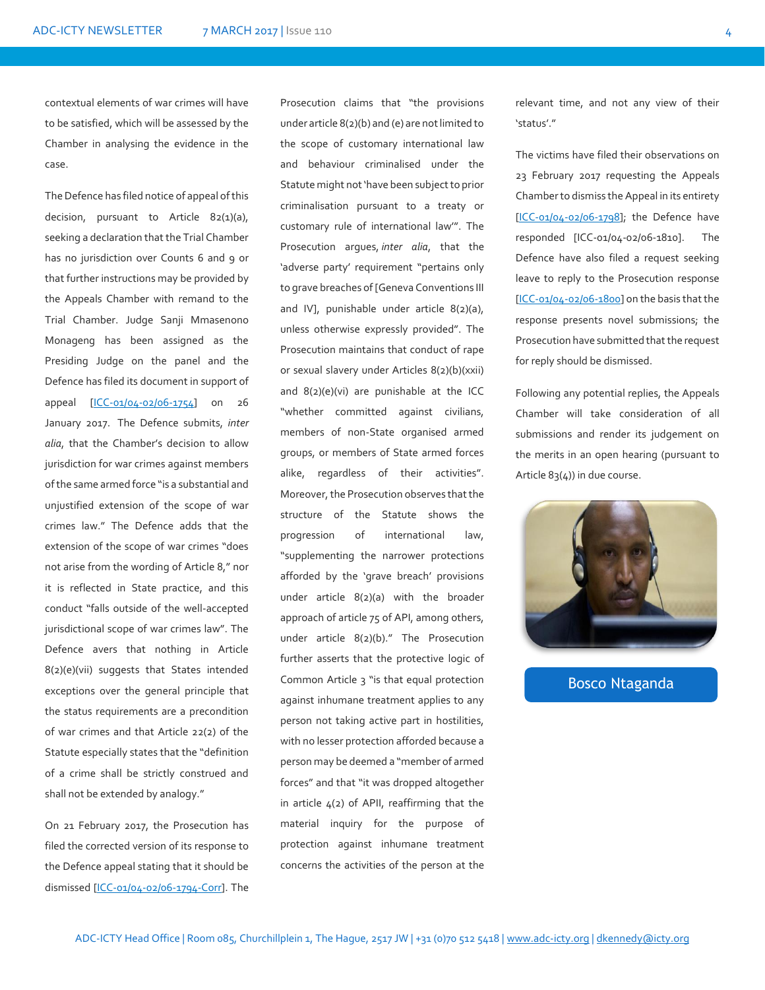contextual elements of war crimes will have to be satisfied, which will be assessed by the Chamber in analysing the evidence in the case.

The Defence has filed notice of appeal of this decision, pursuant to Article 82(1)(a), seeking a declaration that the Trial Chamber has no jurisdiction over Counts 6 and 9 or that further instructions may be provided by the Appeals Chamber with remand to the Trial Chamber. Judge Sanji Mmasenono Monageng has been assigned as the Presiding Judge on the panel and the Defence has filed its document in support of appeal [\[ICC-01/04-02/06-1754\]](https://www.icc-cpi.int/Pages/record.aspx?docNo=ICC-01/04-02/06-1754) on 26 January 2017. The Defence submits, *inter alia*, that the Chamber's decision to allow jurisdiction for war crimes against members of the same armed force "is a substantial and unjustified extension of the scope of war crimes law." The Defence adds that the extension of the scope of war crimes "does not arise from the wording of Article 8," nor it is reflected in State practice, and this conduct "falls outside of the well-accepted jurisdictional scope of war crimes law". The Defence avers that nothing in Article 8(2)(e)(vii) suggests that States intended exceptions over the general principle that the status requirements are a precondition of war crimes and that Article 22(2) of the Statute especially states that the "definition of a crime shall be strictly construed and shall not be extended by analogy."

On 21 February 2017, the Prosecution has filed the corrected version of its response to the Defence appeal stating that it should be dismissed [\[ICC-01/04-02/06-1794-Corr\]](https://www.icc-cpi.int/Pages/record.aspx?docNo=ICC-01/04-02/06-1794-Corr). The

Prosecution claims that "the provisions under article 8(2)(b) and (e) are not limited to the scope of customary international law and behaviour criminalised under the Statute might not 'have been subject to prior criminalisation pursuant to a treaty or customary rule of international law'". The Prosecution argues, *inter alia*, that the 'adverse party' requirement "pertains only to grave breaches of [Geneva Conventions III and IV], punishable under article 8(2)(a), unless otherwise expressly provided". The Prosecution maintains that conduct of rape or sexual slavery under Articles 8(2)(b)(xxii) and 8(2)(e)(vi) are punishable at the ICC "whether committed against civilians, members of non-State organised armed groups, or members of State armed forces alike, regardless of their activities". Moreover, the Prosecution observes that the structure of the Statute shows the progression of international law, "supplementing the narrower protections afforded by the 'grave breach' provisions under article 8(2)(a) with the broader approach of article 75 of API, among others, under article 8(2)(b)." The Prosecution further asserts that the protective logic of Common Article 3 "is that equal protection against inhumane treatment applies to any person not taking active part in hostilities, with no lesser protection afforded because a person may be deemed a "member of armed forces" and that "it was dropped altogether in article 4(2) of APII, reaffirming that the material inquiry for the purpose of protection against inhumane treatment concerns the activities of the person at the

relevant time, and not any view of their 'status'."

The victims have filed their observations on 23 February 2017 requesting the Appeals Chamber to dismiss the Appeal in its entirety [\[ICC-01/04-02/06-1798\]](https://www.icc-cpi.int/Pages/record.aspx?docNo=ICC-01/04-02/06-1798); the Defence have responded [ICC-01/04-02/06-1810]. The Defence have also filed a request seeking leave to reply to the Prosecution response [\[ICC-01/04-02/06-1800\]](https://www.icc-cpi.int/CourtRecords/CR2017_00941.PDF) on the basis that the response presents novel submissions; the Prosecution have submitted that the request for reply should be dismissed.

Following any potential replies, the Appeals Chamber will take consideration of all submissions and render its judgement on the merits in an open hearing (pursuant to Article 83(4)) in due course.



Bosco Ntaganda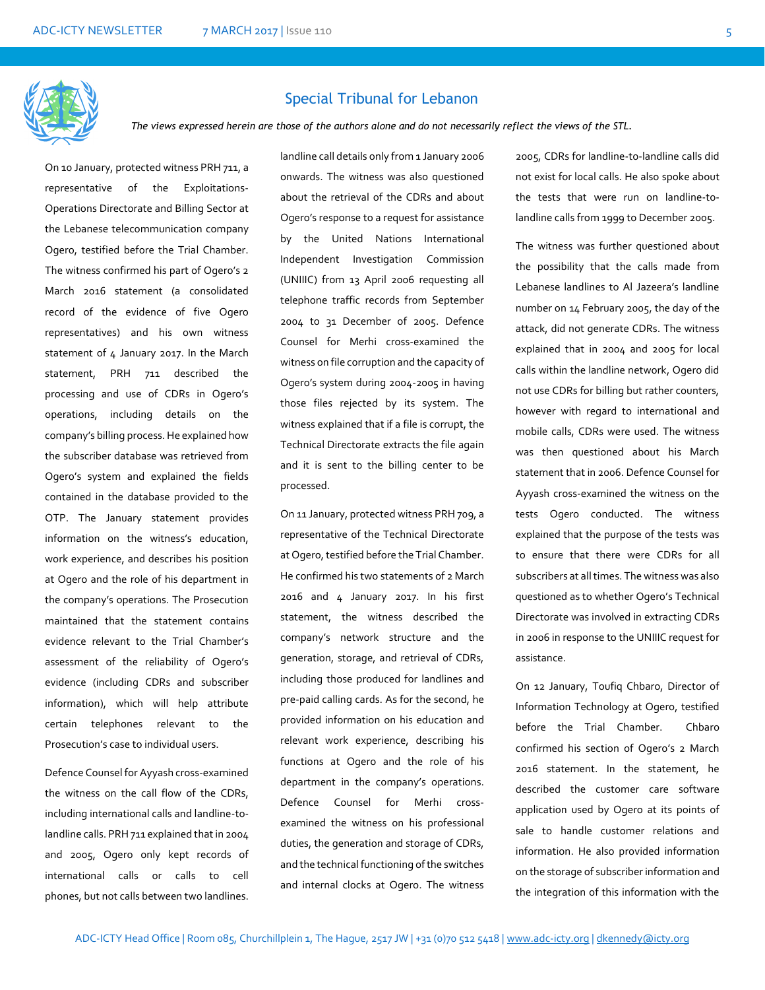

#### Special Tribunal for Lebanon

*The views expressed herein are those of the authors alone and do not necessarily reflect the views of the STL.*

On 10 January, protected witness PRH 711, a representative of the Exploitations-Operations Directorate and Billing Sector at the Lebanese telecommunication company Ogero, testified before the Trial Chamber. The witness confirmed his part of Ogero's 2 March 2016 statement (a consolidated record of the evidence of five Ogero representatives) and his own witness statement of 4 January 2017. In the March statement, PRH 711 described the processing and use of CDRs in Ogero's operations, including details on the company's billing process. He explained how the subscriber database was retrieved from Ogero's system and explained the fields contained in the database provided to the OTP. The January statement provides information on the witness's education, work experience, and describes his position at Ogero and the role of his department in the company's operations. The Prosecution maintained that the statement contains evidence relevant to the Trial Chamber's assessment of the reliability of Ogero's evidence (including CDRs and subscriber information), which will help attribute certain telephones relevant to the Prosecution's case to individual users.

Defence Counsel for Ayyash cross-examined the witness on the call flow of the CDRs, including international calls and landline-tolandline calls. PRH 711 explained that in 2004 and 2005, Ogero only kept records of international calls or calls to cell phones, but not calls between two landlines.

landline call details only from 1 January 2006 onwards. The witness was also questioned about the retrieval of the CDRs and about Ogero's response to a request for assistance by the United Nations International Independent Investigation Commission (UNIIIC) from 13 April 2006 requesting all telephone traffic records from September 2004 to 31 December of 2005. Defence Counsel for Merhi cross-examined the witness on file corruption and the capacity of Ogero's system during 2004-2005 in having those files rejected by its system. The witness explained that if a file is corrupt, the Technical Directorate extracts the file again and it is sent to the billing center to be processed.

On 11 January, protected witness PRH 709, a representative of the Technical Directorate at Ogero, testified before the Trial Chamber. He confirmed his two statements of 2 March 2016 and 4 January 2017. In his first statement, the witness described the company's network structure and the generation, storage, and retrieval of CDRs, including those produced for landlines and pre-paid calling cards. As for the second, he provided information on his education and relevant work experience, describing his functions at Ogero and the role of his department in the company's operations. Defence Counsel for Merhi crossexamined the witness on his professional duties, the generation and storage of CDRs, and the technical functioning of the switches and internal clocks at Ogero. The witness

2005, CDRs for landline-to-landline calls did not exist for local calls. He also spoke about the tests that were run on landline-tolandline calls from 1999 to December 2005.

The witness was further questioned about the possibility that the calls made from Lebanese landlines to Al Jazeera's landline number on 14 February 2005, the day of the attack, did not generate CDRs. The witness explained that in 2004 and 2005 for local calls within the landline network, Ogero did not use CDRs for billing but rather counters, however with regard to international and mobile calls, CDRs were used. The witness was then questioned about his March statement that in 2006. Defence Counsel for Ayyash cross-examined the witness on the tests Ogero conducted. The witness explained that the purpose of the tests was to ensure that there were CDRs for all subscribers at all times. The witness was also questioned as to whether Ogero's Technical Directorate was involved in extracting CDRs in 2006 in response to the UNIIIC request for assistance.

On 12 January, Toufiq Chbaro, Director of Information Technology at Ogero, testified before the Trial Chamber. Chbaro confirmed his section of Ogero's 2 March 2016 statement. In the statement, he described the customer care software application used by Ogero at its points of sale to handle customer relations and information. He also provided information on the storage of subscriber information and the integration of this information with the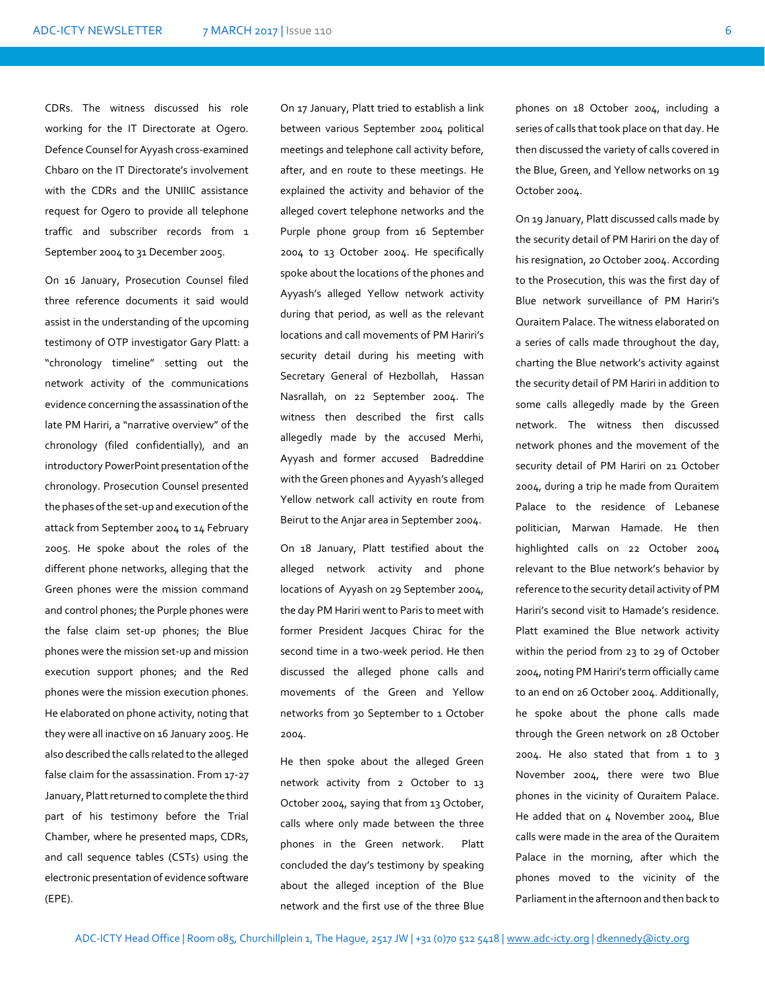CDRs. The witness discussed his role working for the IT Directorate at Ogero. Defence Counsel for Ayyash cross-examined Chbaro on the IT Directorate's involvement with the CDRs and the UNIIIC assistance request for Ogero to provide all telephone traffic and subscriber records from 1 September 2004 to 31 December 2005.

On 16 January, Prosecution Counsel filed three reference documents it said would assist in the understanding of the upcoming testimony of OTP investigator Gary Platt: a "chronology timeline" setting out the network activity of the communications evidence concerning the assassination of the late PM Hariri, a "narrative overview" of the chronology (filed confidentially), and an introductory PowerPoint presentation of the chronology. Prosecution Counsel presented the phases of the set-up and execution of the attack from September 2004 to 14 February 2005. He spoke about the roles of the different phone networks, alleging that the Green phones were the mission command and control phones; the Purple phones were the false claim set-up phones; the Blue phones were the mission set-up and mission execution support phones; and the Red phones were the mission execution phones. He elaborated on phone activity, noting that they were all inactive on 16 January 2005. He also described the calls related to the alleged false claim for the assassination. From 17-27 January, Platt returned to complete the third part of his testimony before the Trial Chamber, where he presented maps, CDRs, and call sequence tables (CSTs) using the electronic presentation of evidence software (EPE).

On 17 January, Platt tried to establish a link between various September 2004 political meetings and telephone call activity before, after, and en route to these meetings. He explained the activity and behavior of the alleged covert telephone networks and the Purple phone group from 16 September 2004 to 13 October 2004. He specifically spoke about the locations of the phones and Ayyash's alleged Yellow network activity during that period, as well as the relevant locations and call movements of PM Hariri's security detail during his meeting with Secretary General of Hezbollah, Hassan Nasrallah, on 22 September 2004. The witness then described the first calls allegedly made by the accused Merhi, Ayyash and former accused Badreddine with the Green phones and Ayyash's alleged Yellow network call activity en route from Beirut to the Anjar area in September 2004.

On 18 January, Platt testified about the alleged network activity and phone locations of Ayyash on 29 September 2004, the day PM Hariri went to Paris to meet with former President Jacques Chirac for the second time in a two-week period. He then discussed the alleged phone calls and movements of the Green and Yellow networks from 30 September to 1 October 2004.

He then spoke about the alleged Green network activity from 2 October to 13 October 2004, saying that from 13 October, calls where only made between the three phones in the Green network. Platt concluded the day's testimony by speaking about the alleged inception of the Blue network and the first use of the three Blue

phones on 18 October 2004, including a series of calls that took place on that day. He then discussed the variety of calls covered in the Blue, Green, and Yellow networks on 19 October 2004.

On 19 January, Platt discussed calls made by the security detail of PM Hariri on the day of his resignation, 20 October 2004. According to the Prosecution, this was the first day of Blue network surveillance of PM Hariri's Quraitem Palace. The witness elaborated on a series of calls made throughout the day, charting the Blue network's activity against the security detail of PM Hariri in addition to some calls allegedly made by the Green network. The witness then discussed network phones and the movement of the security detail of PM Hariri on 21 October 2004, during a trip he made from Quraitem Palace to the residence of Lebanese politician, Marwan Hamade. He then highlighted calls on 22 October 2004 relevant to the Blue network's behavior by reference to the security detail activity of PM Hariri's second visit to Hamade's residence. Platt examined the Blue network activity within the period from 23 to 29 of October 2004, noting PM Hariri's term officially came to an end on 26 October 2004. Additionally, he spoke about the phone calls made through the Green network on 28 October 2004. He also stated that from 1 to 3 November 2004, there were two Blue phones in the vicinity of Quraitem Palace. He added that on 4 November 2004, Blue calls were made in the area of the Quraitem Palace in the morning, after which the phones moved to the vicinity of the Parliament in the afternoon and then back to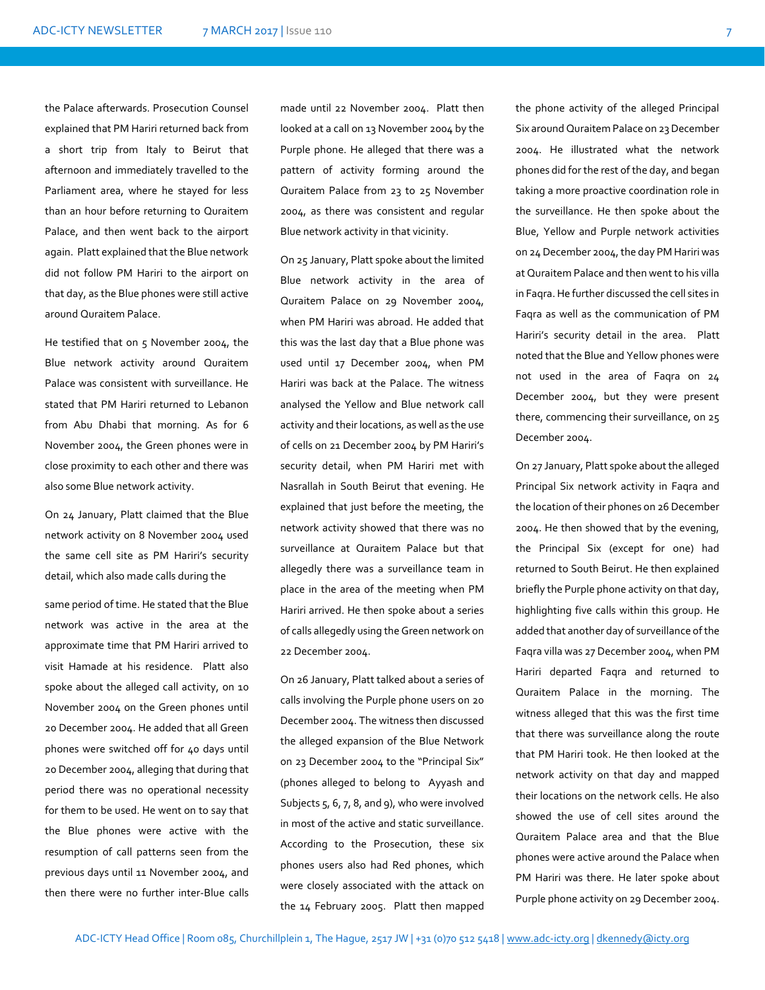the Palace afterwards. Prosecution Counsel explained that PM Hariri returned back from a short trip from Italy to Beirut that afternoon and immediately travelled to the Parliament area, where he stayed for less than an hour before returning to Quraitem Palace, and then went back to the airport again. Platt explained that the Blue network did not follow PM Hariri to the airport on that day, as the Blue phones were still active around Quraitem Palace.

He testified that on 5 November 2004, the Blue network activity around Quraitem Palace was consistent with surveillance. He stated that PM Hariri returned to Lebanon from Abu Dhabi that morning. As for 6 November 2004, the Green phones were in close proximity to each other and there was also some Blue network activity.

On 24 January, Platt claimed that the Blue network activity on 8 November 2004 used the same cell site as PM Hariri's security detail, which also made calls during the

same period of time. He stated that the Blue network was active in the area at the approximate time that PM Hariri arrived to visit Hamade at his residence. Platt also spoke about the alleged call activity, on 10 November 2004 on the Green phones until 20 December 2004. He added that all Green phones were switched off for 40 days until 20 December 2004, alleging that during that period there was no operational necessity for them to be used. He went on to say that the Blue phones were active with the resumption of call patterns seen from the previous days until 11 November 2004, and then there were no further inter-Blue calls

made until 22 November 2004. Platt then looked at a call on 13 November 2004 by the Purple phone. He alleged that there was a pattern of activity forming around the Quraitem Palace from 23 to 25 November 2004, as there was consistent and regular Blue network activity in that vicinity.

On 25 January, Platt spoke about the limited Blue network activity in the area of Quraitem Palace on 29 November 2004, when PM Hariri was abroad. He added that this was the last day that a Blue phone was used until 17 December 2004, when PM Hariri was back at the Palace. The witness analysed the Yellow and Blue network call activity and their locations, as well as the use of cells on 21 December 2004 by PM Hariri's security detail, when PM Hariri met with Nasrallah in South Beirut that evening. He explained that just before the meeting, the network activity showed that there was no surveillance at Quraitem Palace but that allegedly there was a surveillance team in place in the area of the meeting when PM Hariri arrived. He then spoke about a series of calls allegedly using the Green network on 22 December 2004.

On 26 January, Platt talked about a series of calls involving the Purple phone users on 20 December 2004. The witness then discussed the alleged expansion of the Blue Network on 23 December 2004 to the "Principal Six" (phones alleged to belong to Ayyash and Subjects 5, 6, 7, 8, and 9), who were involved in most of the active and static surveillance. According to the Prosecution, these six phones users also had Red phones, which were closely associated with the attack on the 14 February 2005. Platt then mapped

the phone activity of the alleged Principal Six around Quraitem Palace on 23 December 2004. He illustrated what the network phones did for the rest of the day, and began taking a more proactive coordination role in the surveillance. He then spoke about the Blue, Yellow and Purple network activities on 24 December 2004, the day PM Hariri was at Quraitem Palace and then went to his villa in Faqra. He further discussed the cell sites in Faqra as well as the communication of PM Hariri's security detail in the area. Platt noted that the Blue and Yellow phones were not used in the area of Faqra on 24 December 2004, but they were present there, commencing their surveillance, on 25 December 2004.

On 27 January, Platt spoke about the alleged Principal Six network activity in Faqra and the location of their phones on 26 December 2004. He then showed that by the evening, the Principal Six (except for one) had returned to South Beirut. He then explained briefly the Purple phone activity on that day, highlighting five calls within this group. He added that another day of surveillance of the Faqra villa was 27 December 2004, when PM Hariri departed Faqra and returned to Quraitem Palace in the morning. The witness alleged that this was the first time that there was surveillance along the route that PM Hariri took. He then looked at the network activity on that day and mapped their locations on the network cells. He also showed the use of cell sites around the Quraitem Palace area and that the Blue phones were active around the Palace when PM Hariri was there. He later spoke about Purple phone activity on 29 December 2004.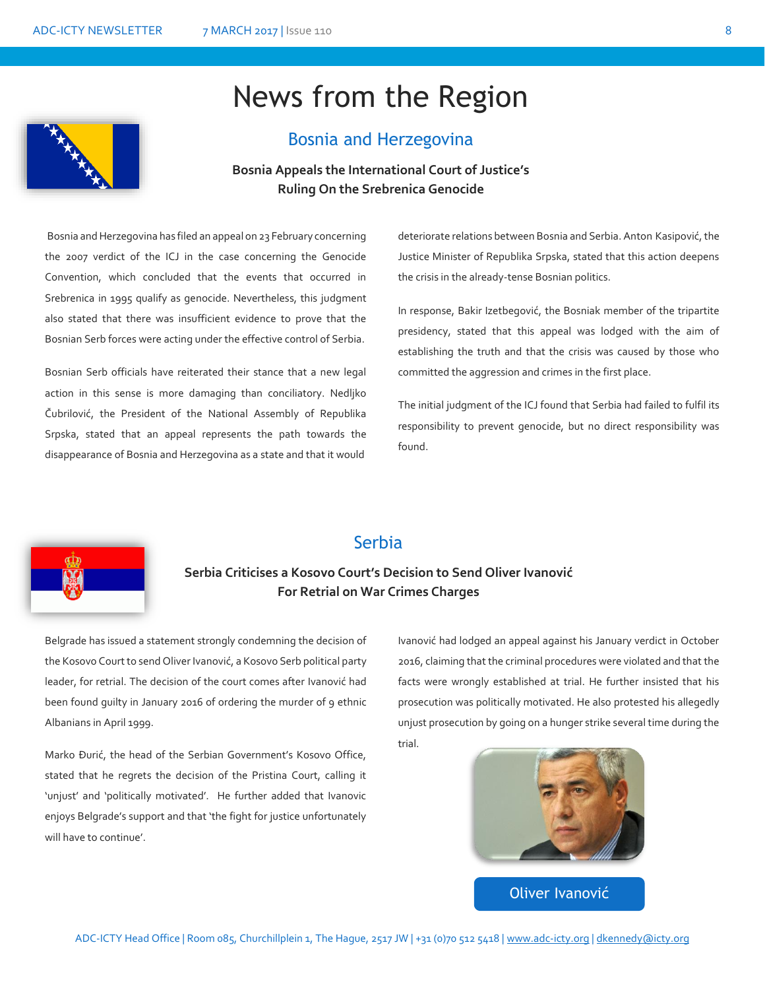### News from the Region



#### Bosnia and Herzegovina

#### **Bosnia Appeals the International Court of Justice's Ruling On the Srebrenica Genocide**

Bosnia and Herzegovina has filed an appeal on 23 February concerning the 2007 verdict of the ICJ in the case concerning the Genocide Convention, which concluded that the events that occurred in Srebrenica in 1995 qualify as genocide. Nevertheless, this judgment also stated that there was insufficient evidence to prove that the Bosnian Serb forces were acting under the effective control of Serbia.

Bosnian Serb officials have reiterated their stance that a new legal action in this sense is more damaging than conciliatory. Nedljko Čubrilović, the President of the National Assembly of Republika Srpska, stated that an appeal represents the path towards the disappearance of Bosnia and Herzegovina as a state and that it would

deteriorate relations between Bosnia and Serbia. Anton Kasipović, the Justice Minister of Republika Srpska, stated that this action deepens the crisis in the already-tense Bosnian politics.

In response, Bakir Izetbegović, the Bosniak member of the tripartite presidency, stated that this appeal was lodged with the aim of establishing the truth and that the crisis was caused by those who committed the aggression and crimes in the first place.

The initial judgment of the ICJ found that Serbia had failed to fulfil its responsibility to prevent genocide, but no direct responsibility was found.



#### Serbia

### **Serbia Criticises a Kosovo Court's Decision to Send Oliver Ivanović For Retrial on War Crimes Charges**

Belgrade has issued a statement strongly condemning the decision of the Kosovo Court to send Oliver Ivanović, a Kosovo Serb political party leader, for retrial. The decision of the court comes after Ivanović had been found guilty in January 2016 of ordering the murder of 9 ethnic Albanians in April 1999.

Marko Đurić, the head of the Serbian Government's Kosovo Office, stated that he regrets the decision of the Pristina Court, calling it 'unjust' and 'politically motivated'. He further added that Ivanovic enjoys Belgrade's support and that 'the fight for justice unfortunately will have to continue'.

Ivanović had lodged an appeal against his January verdict in October 2016, claiming that the criminal procedures were violated and that the facts were wrongly established at trial. He further insisted that his prosecution was politically motivated. He also protested his allegedly unjust prosecution by going on a hunger strike several time during the trial.



Oliver Ivanović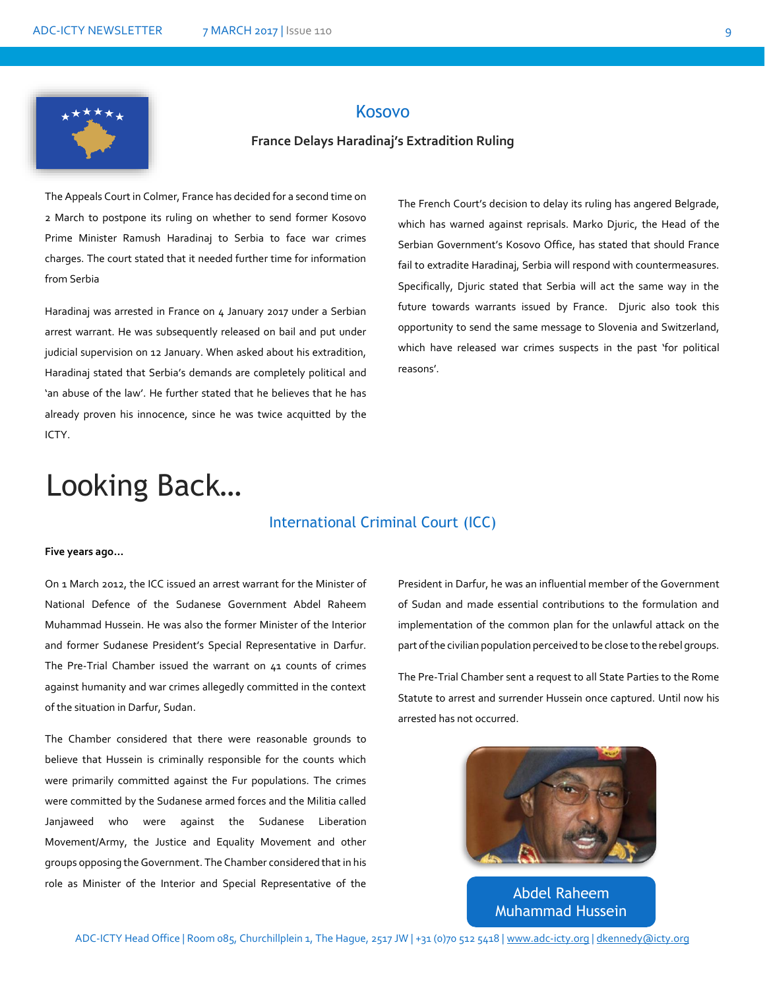

#### Kosovo

#### **France Delays Haradinaj's Extradition Ruling**

The Appeals Court in Colmer, France has decided for a second time on 2 March to postpone its ruling on whether to send former Kosovo Prime Minister Ramush Haradinaj to Serbia to face war crimes charges. The court stated that it needed further time for information from Serbia

Haradinaj was arrested in France on 4 January 2017 under a Serbian arrest warrant. He was subsequently released on bail and put under judicial supervision on 12 January. When asked about his extradition, Haradinaj stated that Serbia's demands are completely political and 'an abuse of the law'. He further stated that he believes that he has already proven his innocence, since he was twice acquitted by the ICTY.

The French Court's decision to delay its ruling has angered Belgrade, which has warned against reprisals. Marko Djuric, the Head of the Serbian Government's Kosovo Office, has stated that should France fail to extradite Haradinaj, Serbia will respond with countermeasures. Specifically, Djuric stated that Serbia will act the same way in the future towards warrants issued by France. Djuric also took this opportunity to send the same message to Slovenia and Switzerland, which have released war crimes suspects in the past 'for political reasons'.

### Looking Back…

#### International Criminal Court (ICC)

#### **Five years ago…**

On 1 March 2012, the ICC issued an arrest warrant for the Minister of National Defence of the Sudanese Government Abdel Raheem Muhammad Hussein. He was also the former Minister of the Interior and former Sudanese President's Special Representative in Darfur. The Pre-Trial Chamber issued the warrant on 41 counts of crimes against humanity and war crimes allegedly committed in the context of the situation in Darfur, Sudan.

The Chamber considered that there were reasonable grounds to believe that Hussein is criminally responsible for the counts which were primarily committed against the Fur populations. The crimes were committed by the Sudanese armed forces and the Militia called Janjaweed who were against the Sudanese Liberation Movement/Army, the Justice and Equality Movement and other groups opposing the Government. The Chamber considered that in his role as Minister of the Interior and Special Representative of the President in Darfur, he was an influential member of the Government of Sudan and made essential contributions to the formulation and implementation of the common plan for the unlawful attack on the part of the civilian population perceived to be close to the rebel groups.

The Pre-Trial Chamber sent a request to all State Parties to the Rome Statute to arrest and surrender Hussein once captured. Until now his arrested has not occurred.



Abdel Raheem Muhammad Hussein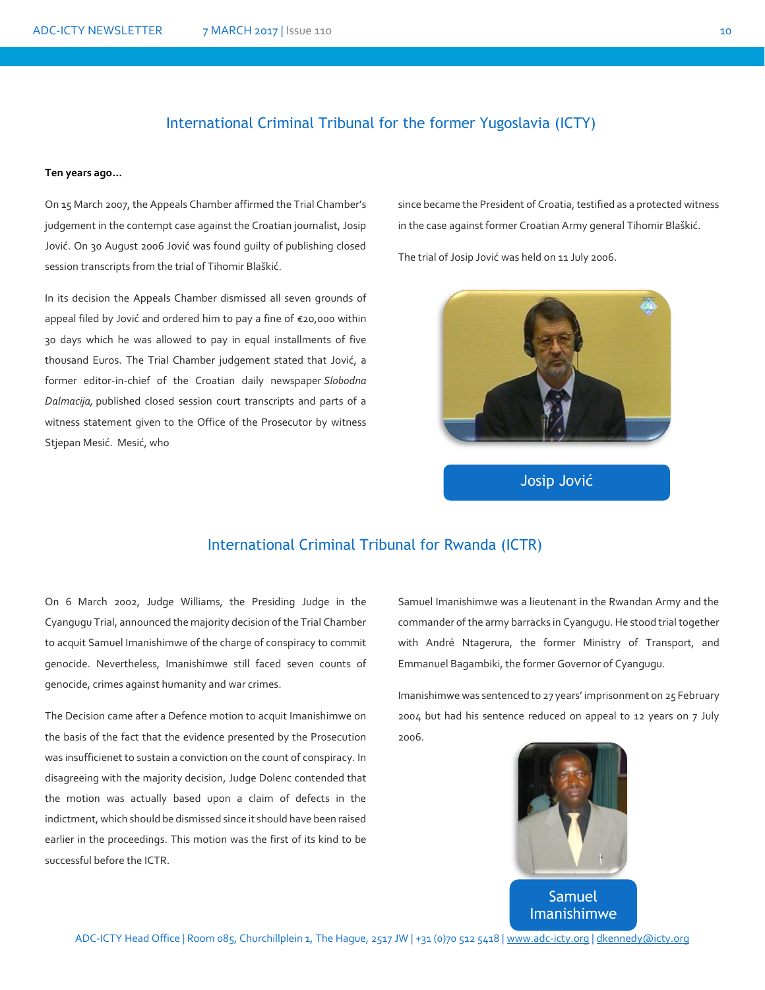#### International Criminal Tribunal for the former Yugoslavia (ICTY)

#### **Ten years ago…**

On 15 March 2007, the Appeals Chamber affirmed the Trial Chamber's judgement in the contempt case against the Croatian journalist, Josip Jović. On 30 August 2006 Jović was found guilty of publishing closed session transcripts from the trial of Tihomir Blaškić.

In its decision the Appeals Chamber dismissed all seven grounds of appeal filed by Jović and ordered him to pay a fine of €20,000 within 30 days which he was allowed to pay in equal installments of five thousand Euros. The Trial Chamber judgement stated that Jović, a former editor-in-chief of the Croatian daily newspaper *Slobodna Dalmacija,* published closed session court transcripts and parts of a witness statement given to the Office of the Prosecutor by witness Stjepan Mesić. Mesić, who

since became the President of Croatia, testified as a protected witness in the case against former Croatian Army general Tihomir Blaškić.

The trial of Josip Jović was held on 11 July 2006.



Josip Jović

#### International Criminal Tribunal for Rwanda (ICTR)

On 6 March 2002, Judge Williams, the Presiding Judge in the Cyangugu Trial, announced the majority decision of the Trial Chamber to acquit Samuel Imanishimwe of the charge of conspiracy to commit genocide. Nevertheless, Imanishimwe still faced seven counts of genocide, crimes against humanity and war crimes.

The Decision came after a Defence motion to acquit Imanishimwe on the basis of the fact that the evidence presented by the Prosecution was insufficienet to sustain a conviction on the count of conspiracy. In disagreeing with the majority decision, Judge Dolenc contended that the motion was actually based upon a claim of defects in the indictment, which should be dismissed since it should have been raised earlier in the proceedings. This motion was the first of its kind to be successful before the ICTR.

Samuel Imanishimwe was a lieutenant in the Rwandan Army and the commander of the army barracks in Cyangugu. He stood trial together with André Ntagerura, the former Ministry of Transport, and Emmanuel Bagambiki, the former Governor of Cyangugu.

Imanishimwe was sentenced to 27 years' imprisonment on 25 February 2004 but had his sentence reduced on appeal to 12 years on 7 July 2006.



Samuel Imanishimwe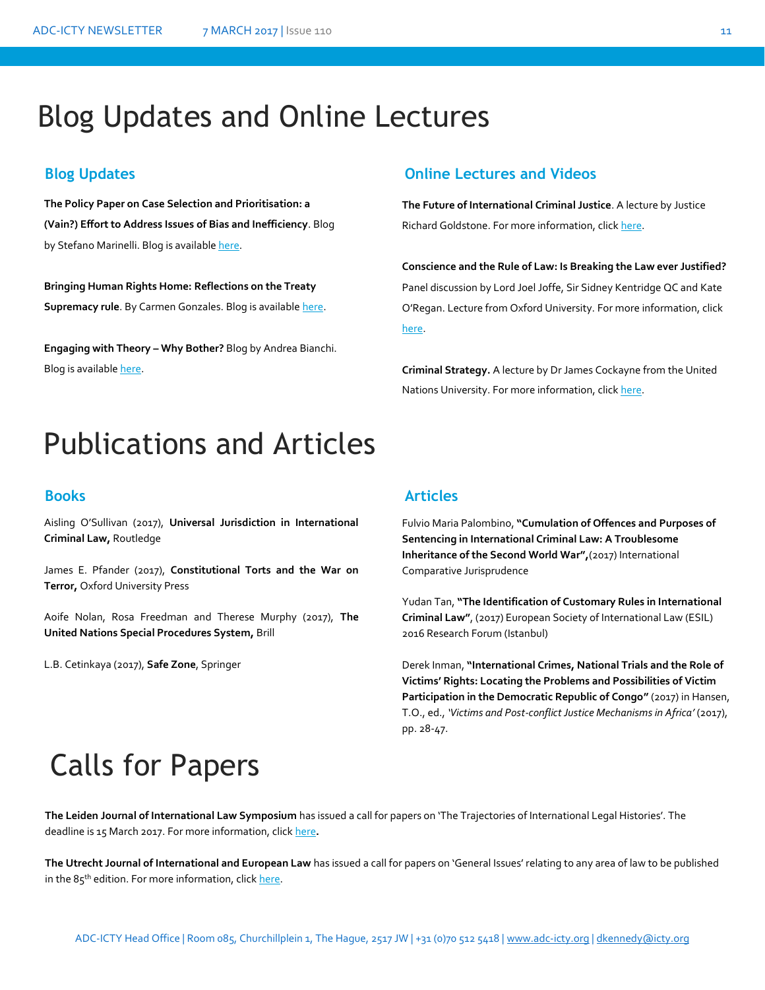### Blog Updates and Online Lectures

**The Policy Paper on Case Selection and Prioritisation: a (Vain?) Effort to Address Issues of Bias and Inefficiency**. Blog by Stefano Marinelli. Blog is availabl[e here.](https://aninternationallawblog.wordpress.com/2017/01/)

**Bringing Human Rights Home: Reflections on the Treaty Supremacy rule**. By Carmen Gonzales. Blog is available [here.](http://opiniojuris.org/2017/02/13/bringing-human-rights-home-reflections-on-the-treaty-supremacy-rule/)

**Engaging with Theory – Why Bother?** Blog by Andrea Bianchi. Blog is availabl[e here.](http://www.ejiltalk.org/engaging-with-theory-why-bother/#more-14942)

#### **Blog Updates Online Lectures and Videos**

**The Future of International Criminal Justice**. A lecture by Justice Richard Goldstone. For more information, clic[k here.](http://legal.un.org/avl/ls/Goldstone_CLP.html)

**Conscience and the Rule of Law: Is Breaking the Law ever Justified?** Panel discussion by Lord Joel Joffe, Sir Sidney Kentridge QC and Kate O'Regan. Lecture from Oxford University. For more information, click [here.](https://podcasts.ox.ac.uk/conscience-and-rule-law-breaking-law-ever-justified)

**Criminal Strategy.** A lecture by Dr James Cockayne from the United Nations University. For more information, clic[k here.](https://podcasts.ox.ac.uk/criminal-strategy)

### Publications and Articles

Aisling O'Sullivan (2017), **Universal Jurisdiction in International Criminal Law,** Routledge

James E. Pfander (2017), **Constitutional Torts and the War on Terror,** Oxford University Press

Aoife Nolan, Rosa Freedman and Therese Murphy (2017), **The United Nations Special Procedures System,** Brill

L.B. Cetinkaya (2017), **Safe Zone**, Springer

#### **Books Articles**

Fulvio Maria Palombino, **"Cumulation of Offences and Purposes of Sentencing in International Criminal Law: A Troublesome Inheritance of the Second World War",**(2017) International Comparative Jurisprudence

Yudan Tan, **"The Identification of Customary Rules in International Criminal Law"**, (2017) European Society of International Law (ESIL) 2016 Research Forum (Istanbul)

Derek Inman, **"International Crimes, National Trials and the Role of Victims' Rights: Locating the Problems and Possibilities of Victim Participation in the Democratic Republic of Congo"** (2017) in Hansen, T.O., ed., *'Victims and Post-conflict Justice Mechanisms in Africa'* (2017), pp. 28-47.

## **Calls for Papers**

**The Leiden Journal of International Law Symposium** has issued a call for papers on 'The Trajectories of International Legal Histories'. The persdeadline is 15 March 2017. For more information, clic[k here](https://www.cambridge.org/core/journals/leiden-journal-of-international-law/information/call-for-papers)**.**

**The Utrecht Journal of International and European Law** has issued a call for papers on 'General Issues' relating to any area of law to be published in the 85<sup>th</sup> edition. For more information, clic[k here.](http://www.utrechtjournal.org/announcement/)